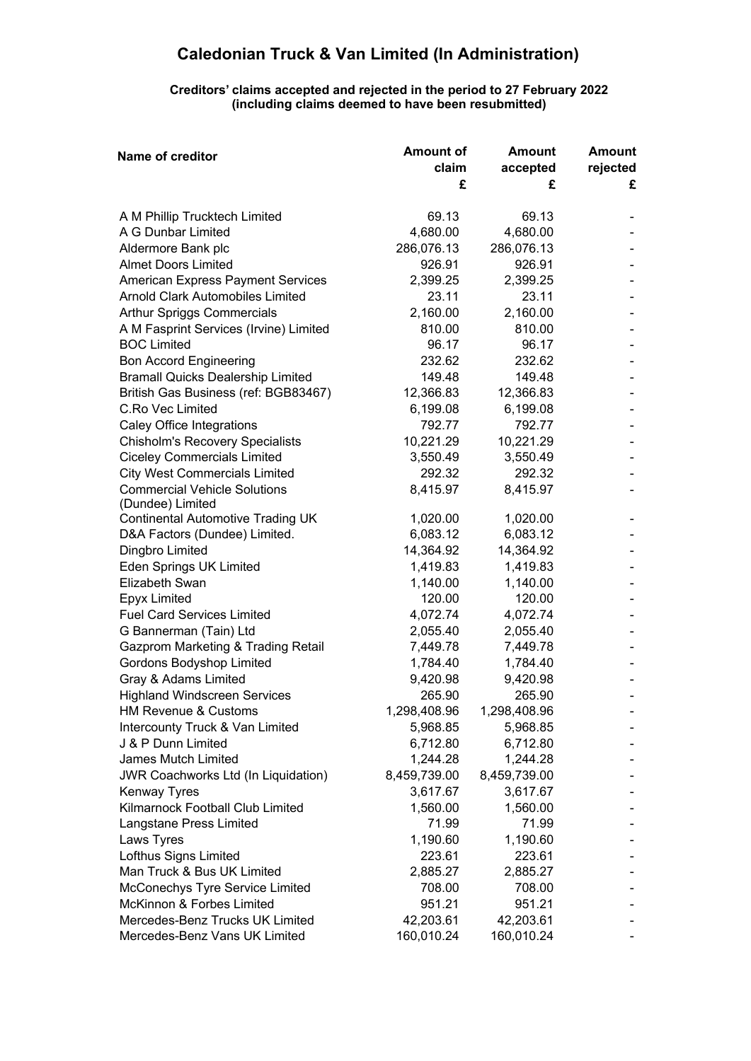## **Caledonian Truck & Van Limited (In Administration)**

## **Creditors' claims accepted and rejected in the period to 27 February 2022 (including claims deemed to have been resubmitted)**

| Name of creditor                                             | <b>Amount of</b> | <b>Amount</b> | <b>Amount</b> |
|--------------------------------------------------------------|------------------|---------------|---------------|
|                                                              | claim            | accepted      | rejected      |
|                                                              | £                | £             | £             |
| A M Phillip Trucktech Limited                                | 69.13            | 69.13         |               |
| A G Dunbar Limited                                           | 4,680.00         | 4,680.00      |               |
| Aldermore Bank plc                                           | 286,076.13       | 286,076.13    |               |
| <b>Almet Doors Limited</b>                                   | 926.91           | 926.91        |               |
| <b>American Express Payment Services</b>                     | 2,399.25         | 2,399.25      |               |
| <b>Arnold Clark Automobiles Limited</b>                      | 23.11            | 23.11         |               |
| Arthur Spriggs Commercials                                   | 2,160.00         | 2,160.00      |               |
| A M Fasprint Services (Irvine) Limited                       | 810.00           | 810.00        |               |
| <b>BOC Limited</b>                                           | 96.17            | 96.17         |               |
| <b>Bon Accord Engineering</b>                                | 232.62           | 232.62        |               |
| <b>Bramall Quicks Dealership Limited</b>                     | 149.48           | 149.48        |               |
| British Gas Business (ref: BGB83467)                         | 12,366.83        | 12,366.83     |               |
| C.Ro Vec Limited                                             | 6,199.08         | 6,199.08      |               |
| Caley Office Integrations                                    | 792.77           | 792.77        |               |
| <b>Chisholm's Recovery Specialists</b>                       | 10,221.29        | 10,221.29     |               |
| <b>Ciceley Commercials Limited</b>                           | 3,550.49         | 3,550.49      |               |
| <b>City West Commercials Limited</b>                         | 292.32           | 292.32        |               |
| <b>Commercial Vehicle Solutions</b>                          | 8,415.97         | 8,415.97      |               |
| (Dundee) Limited<br><b>Continental Automotive Trading UK</b> | 1,020.00         | 1,020.00      |               |
| D&A Factors (Dundee) Limited.                                | 6,083.12         | 6,083.12      |               |
| Dingbro Limited                                              | 14,364.92        | 14,364.92     |               |
| <b>Eden Springs UK Limited</b>                               | 1,419.83         | 1,419.83      |               |
| Elizabeth Swan                                               | 1,140.00         | 1,140.00      |               |
| <b>Epyx Limited</b>                                          | 120.00           | 120.00        |               |
| <b>Fuel Card Services Limited</b>                            | 4,072.74         | 4,072.74      |               |
| G Bannerman (Tain) Ltd                                       | 2,055.40         | 2,055.40      |               |
| <b>Gazprom Marketing &amp; Trading Retail</b>                | 7,449.78         | 7,449.78      |               |
| Gordons Bodyshop Limited                                     | 1,784.40         | 1,784.40      |               |
| Gray & Adams Limited                                         | 9,420.98         | 9,420.98      |               |
| <b>Highland Windscreen Services</b>                          | 265.90           | 265.90        |               |
| HM Revenue & Customs                                         | 1,298,408.96     | 1,298,408.96  |               |
| Intercounty Truck & Van Limited                              | 5,968.85         | 5,968.85      |               |
| J & P Dunn Limited                                           | 6,712.80         | 6,712.80      |               |
| <b>James Mutch Limited</b>                                   | 1,244.28         | 1,244.28      |               |
| <b>JWR Coachworks Ltd (In Liquidation)</b>                   | 8,459,739.00     | 8,459,739.00  |               |
| <b>Kenway Tyres</b>                                          | 3,617.67         | 3,617.67      |               |
| Kilmarnock Football Club Limited                             | 1,560.00         | 1,560.00      |               |
| Langstane Press Limited                                      | 71.99            | 71.99         |               |
| Laws Tyres                                                   | 1,190.60         | 1,190.60      |               |
| Lofthus Signs Limited                                        | 223.61           | 223.61        |               |
| Man Truck & Bus UK Limited                                   | 2,885.27         | 2,885.27      |               |
| McConechys Tyre Service Limited                              | 708.00           | 708.00        |               |
| McKinnon & Forbes Limited                                    | 951.21           | 951.21        |               |
| Mercedes-Benz Trucks UK Limited                              | 42,203.61        | 42,203.61     |               |
| Mercedes-Benz Vans UK Limited                                | 160,010.24       | 160,010.24    |               |
|                                                              |                  |               |               |